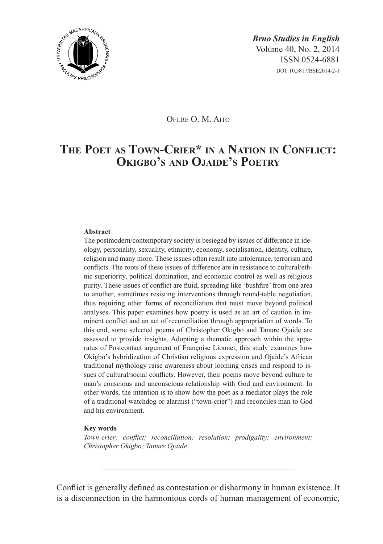

OFURE O. M. AITO

# **The Poet as Town-Crier\* in a Nation in Conflict: Okigbo's and Ojaide's Poetry**

#### **Abstract**

The postmodern/contemporary society is besieged by issues of difference in ideology, personality, sexuality, ethnicity, economy, socialisation, identity, culture, religion and many more. These issues often result into intolerance, terrorism and conflicts. The roots of these issues of difference are in resistance to cultural/ethnic superiority, political domination, and economic control as well as religious purity. These issues of conflict are fluid, spreading like 'bushfire' from one area to another, sometimes resisting interventions through round-table negotiation, thus requiring other forms of reconciliation that must move beyond political analyses. This paper examines how poetry is used as an art of caution in imminent conflict and an act of reconciliation through appropriation of words. To this end, some selected poems of Christopher Okigbo and Tanure Ojaide are assessed to provide insights. Adopting a thematic approach within the apparatus of Postcontact argument of Françoise Lionnet, this study examines how Okigbo's hybridization of Christian religious expression and Ojaide's African traditional mythology raise awareness about looming crises and respond to issues of cultural/social conflicts. However, their poems move beyond culture to man's conscious and unconscious relationship with God and environment. In other words, the intention is to show how the poet as a mediator plays the role of a traditional watchdog or alarmist ("town-crier") and reconciles man to God and his environment.

#### **Key words**

*Town-crier; conflict; reconciliation; resolution; prodigality; environment; Christopher Okigbo; Tanure Ojaide*

Conflict is generally defined as contestation or disharmony in human existence. It is a disconnection in the harmonious cords of human management of economic,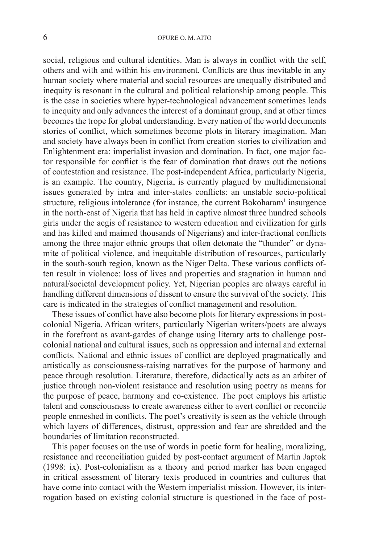social, religious and cultural identities. Man is always in conflict with the self, others and with and within his environment. Conflicts are thus inevitable in any human society where material and social resources are unequally distributed and inequity is resonant in the cultural and political relationship among people. This is the case in societies where hyper-technological advancement sometimes leads to inequity and only advances the interest of a dominant group, and at other times becomes the trope for global understanding. Every nation of the world documents stories of conflict, which sometimes become plots in literary imagination. Man and society have always been in conflict from creation stories to civilization and Enlightenment era: imperialist invasion and domination. In fact, one major factor responsible for conflict is the fear of domination that draws out the notions of contestation and resistance. The post-independent Africa, particularly Nigeria, is an example. The country, Nigeria, is currently plagued by multidimensional issues generated by intra and inter-states conflicts: an unstable socio-political structure, religious intolerance (for instance, the current Bokoharam<sup>1</sup> insurgence in the north-east of Nigeria that has held in captive almost three hundred schools girls under the aegis of resistance to western education and civilization for girls and has killed and maimed thousands of Nigerians) and inter-fractional conflicts among the three major ethnic groups that often detonate the "thunder" or dynamite of political violence, and inequitable distribution of resources, particularly in the south-south region, known as the Niger Delta. These various conflicts often result in violence: loss of lives and properties and stagnation in human and natural/societal development policy. Yet, Nigerian peoples are always careful in handling different dimensions of dissent to ensure the survival of the society. This care is indicated in the strategies of conflict management and resolution.

These issues of conflict have also become plots for literary expressions in postcolonial Nigeria. African writers, particularly Nigerian writers/poets are always in the forefront as avant-gardes of change using literary arts to challenge postcolonial national and cultural issues, such as oppression and internal and external conflicts. National and ethnic issues of conflict are deployed pragmatically and artistically as consciousness-raising narratives for the purpose of harmony and peace through resolution. Literature, therefore, didactically acts as an arbiter of justice through non-violent resistance and resolution using poetry as means for the purpose of peace, harmony and co-existence. The poet employs his artistic talent and consciousness to create awareness either to avert conflict or reconcile people enmeshed in conflicts. The poet's creativity is seen as the vehicle through which layers of differences, distrust, oppression and fear are shredded and the boundaries of limitation reconstructed.

This paper focuses on the use of words in poetic form for healing, moralizing, resistance and reconciliation guided by post-contact argument of Martin Japtok (1998: ix). Post-colonialism as a theory and period marker has been engaged in critical assessment of literary texts produced in countries and cultures that have come into contact with the Western imperialist mission. However, its interrogation based on existing colonial structure is questioned in the face of post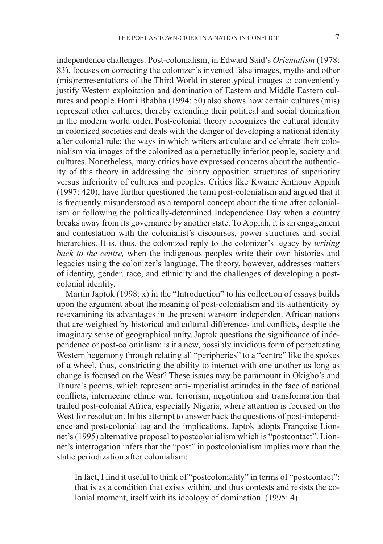independence challenges. Post-colonialism, in Edward Said's *Orientalism* (1978: 83), focuses on correcting the colonizer's invented false images, myths and other (mis)representations of the Third World in stereotypical images to conveniently justify Western exploitation and domination of Eastern and Middle Eastern cultures and people.Homi Bhabha (1994: 50) also shows how certain cultures (mis) represent other cultures, thereby extending their political and social domination in the modern world order. Post-colonial theory recognizes the cultural identity in colonized societies and deals with the danger of developing a national identity after colonial rule; the ways in which writers articulate and celebrate their colonialism via images of the colonized as a perpetually inferior people, society and cultures. Nonetheless, many critics have expressed concerns about the authenticity of this theory in addressing the binary opposition structures of superiority versus inferiority of cultures and peoples. Critics like Kwame Anthony Appiah (1997: 420), have further questioned the term post-colonialism and argued that it is frequently misunderstood as a temporal concept about the time after colonialism or following the politically-determined Independence Day when a country breaks away from its governance by another state. To Appiah, it is an engagement and contestation with the colonialist's discourses, power structures and social hierarchies. It is, thus, the colonized reply to the colonizer's legacy by *writing back to the centre,* when the indigenous peoples write their own histories and legacies using the colonizer's language. The theory, however, addresses matters of identity, gender, race, and ethnicity and the challenges of developing a postcolonial identity.

Martin Japtok (1998: x) in the "Introduction" to his collection of essays builds upon the argument about the meaning of post-colonialism and its authenticity by re-examining its advantages in the present war-torn independent African nations that are weighted by historical and cultural differences and conflicts, despite the imaginary sense of geographical unity.Japtok questions the significance of independence or post-colonialism: is it a new, possibly invidious form of perpetuating Western hegemony through relating all "peripheries" to a "centre" like the spokes of a wheel, thus, constricting the ability to interact with one another as long as change is focused on the West? These issues may be paramount in Okigbo's and Tanure's poems, which represent anti-imperialist attitudes in the face of national conflicts, internecine ethnic war, terrorism, negotiation and transformation that trailed post-colonial Africa, especially Nigeria, where attention is focused on the West for resolution. In his attempt to answer back the questions of post-independence and post-colonial tag and the implications, Japtok adopts Françoise Lionnet's (1995) alternative proposal to postcolonialism which is "postcontact". Lionnet's interrogation infers that the "post" in postcolonialism implies more than the static periodization after colonialism:

In fact, I find it useful to think of "postcoloniality" in terms of "postcontact": that is as a condition that exists within, and thus contests and resists the colonial moment, itself with its ideology of domination. (1995: 4)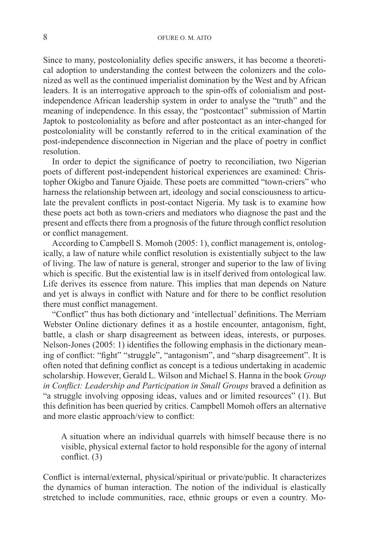Since to many, postcoloniality defies specific answers, it has become a theoretical adoption to understanding the contest between the colonizers and the colonized as well as the continued imperialist domination by the West and by African leaders. It is an interrogative approach to the spin-offs of colonialism and postindependence African leadership system in order to analyse the "truth" and the meaning of independence. In this essay, the "postcontact" submission of Martin Japtok to postcoloniality as before and after postcontact as an inter-changed for postcoloniality will be constantly referred to in the critical examination of the post-independence disconnection in Nigerian and the place of poetry in conflict resolution.

In order to depict the significance of poetry to reconciliation, two Nigerian poets of different post-independent historical experiences are examined: Christopher Okigbo and Tanure Ojaide. These poets are committed "town-criers" who harness the relationship between art, ideology and social consciousness to articulate the prevalent conflicts in post-contact Nigeria. My task is to examine how these poets act both as town-criers and mediators who diagnose the past and the present and effects there from a prognosis of the future through conflict resolution or conflict management.

According to Campbell S. Momoh (2005: 1), conflict management is, ontologically, a law of nature while conflict resolution is existentially subject to the law of living. The law of nature is general, stronger and superior to the law of living which is specific. But the existential law is in itself derived from ontological law. Life derives its essence from nature. This implies that man depends on Nature and yet is always in conflict with Nature and for there to be conflict resolution there must conflict management.

"Conflict" thus has both dictionary and 'intellectual' definitions. The Merriam Webster Online dictionary defines it as a hostile encounter, antagonism, fight, battle, a clash or sharp disagreement as between ideas, interests, or purposes. Nelson-Jones (2005: 1) identifies the following emphasis in the dictionary meaning of conflict: "fight" "struggle", "antagonism", and "sharp disagreement". It is often noted that defining conflict as concept is a tedious undertaking in academic scholarship. However, Gerald L. Wilson and Michael S. Hanna in the book *Group in Conflict: Leadership and Participation in Small Groups* braved a definition as "a struggle involving opposing ideas, values and or limited resources" (1). But this definition has been queried by critics. Campbell Momoh offers an alternative and more elastic approach/view to conflict:

A situation where an individual quarrels with himself because there is no visible, physical external factor to hold responsible for the agony of internal conflict. (3)

Conflict is internal/external, physical/spiritual or private/public. It characterizes the dynamics of human interaction. The notion of the individual is elastically stretched to include communities, race, ethnic groups or even a country. Mo-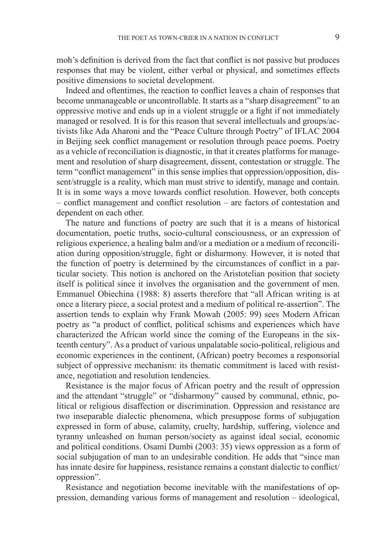moh's definition is derived from the fact that conflict is not passive but produces responses that may be violent, either verbal or physical, and sometimes effects positive dimensions to societal development.

Indeed and oftentimes, the reaction to conflict leaves a chain of responses that become unmanageable or uncontrollable. It starts as a "sharp disagreement" to an oppressive motive and ends up in a violent struggle or a fight if not immediately managed or resolved. It is for this reason that several intellectuals and groups/activists like Ada Aharoni and the "Peace Culture through Poetry" of IFLAC 2004 in Beijing seek conflict management or resolution through peace poems. Poetry as a vehicle of reconciliation is diagnostic, in that it creates platforms for management and resolution of sharp disagreement, dissent, contestation or struggle. The term "conflict management" in this sense implies that oppression/opposition, dissent/struggle is a reality, which man must strive to identify, manage and contain. It is in some ways a move towards conflict resolution. However, both concepts – conflict management and conflict resolution – are factors of contestation and dependent on each other.

The nature and functions of poetry are such that it is a means of historical documentation, poetic truths, socio-cultural consciousness, or an expression of religious experience, a healing balm and/or a mediation or a medium of reconciliation during opposition/struggle, fight or disharmony. However, it is noted that the function of poetry is determined by the circumstances of conflict in a particular society. This notion is anchored on the Aristotelian position that society itself is political since it involves the organisation and the government of men. Emmanuel Obiechina (1988: 8) asserts therefore that "all African writing is at once a literary piece, a social protest and a medium of political re-assertion". The assertion tends to explain why Frank Mowah (2005: 99) sees Modern African poetry as "a product of conflict, political schisms and experiences which have characterized the African world since the coming of the Europeans in the sixteenth century". As a product of various unpalatable socio-political, religious and economic experiences in the continent, (African) poetry becomes a responsorial subject of oppressive mechanism: its thematic commitment is laced with resistance, negotiation and resolution tendencies.

Resistance is the major focus of African poetry and the result of oppression and the attendant "struggle" or "disharmony" caused by communal, ethnic, political or religious disaffection or discrimination. Oppression and resistance are two inseparable dialectic phenomena, which presuppose forms of subjugation expressed in form of abuse, calamity, cruelty, hardship, suffering, violence and tyranny unleashed on human person/society as against ideal social, economic and political conditions. Osami Dumbi (2003: 35) views oppression as a form of social subjugation of man to an undesirable condition. He adds that "since man has innate desire for happiness, resistance remains a constant dialectic to conflict/ oppression".

Resistance and negotiation become inevitable with the manifestations of oppression, demanding various forms of management and resolution – ideological,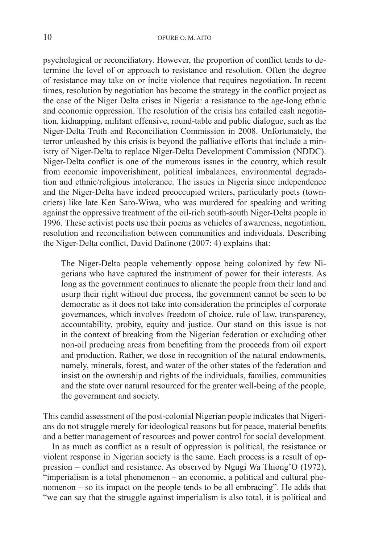psychological or reconciliatory. However, the proportion of conflict tends to determine the level of or approach to resistance and resolution. Often the degree of resistance may take on or incite violence that requires negotiation. In recent times, resolution by negotiation has become the strategy in the conflict project as the case of the Niger Delta crises in Nigeria: a resistance to the age-long ethnic and economic oppression. The resolution of the crisis has entailed cash negotiation, kidnapping, militant offensive, round-table and public dialogue, such as the Niger-Delta Truth and Reconciliation Commission in 2008. Unfortunately, the terror unleashed by this crisis is beyond the palliative efforts that include a ministry of Niger-Delta to replace Niger-Delta Development Commission (NDDC). Niger-Delta conflict is one of the numerous issues in the country, which result from economic impoverishment, political imbalances, environmental degradation and ethnic/religious intolerance. The issues in Nigeria since independence and the Niger-Delta have indeed preoccupied writers, particularly poets (towncriers) like late Ken Saro-Wiwa, who was murdered for speaking and writing against the oppressive treatment of the oil-rich south-south Niger-Delta people in 1996. These activist poets use their poems as vehicles of awareness, negotiation, resolution and reconciliation between communities and individuals. Describing the Niger-Delta conflict, David Dafinone (2007: 4) explains that:

The Niger-Delta people vehemently oppose being colonized by few Nigerians who have captured the instrument of power for their interests. As long as the government continues to alienate the people from their land and usurp their right without due process, the government cannot be seen to be democratic as it does not take into consideration the principles of corporate governances, which involves freedom of choice, rule of law, transparency, accountability, probity, equity and justice. Our stand on this issue is not in the context of breaking from the Nigerian federation or excluding other non-oil producing areas from benefiting from the proceeds from oil export and production. Rather, we dose in recognition of the natural endowments, namely, minerals, forest, and water of the other states of the federation and insist on the ownership and rights of the individuals, families, communities and the state over natural resourced for the greater well-being of the people, the government and society.

This candid assessment of the post-colonial Nigerian people indicates that Nigerians do not struggle merely for ideological reasons but for peace, material benefits and a better management of resources and power control for social development.

In as much as conflict as a result of oppression is political, the resistance or violent response in Nigerian society is the same. Each process is a result of oppression – conflict and resistance. As observed by Ngugi Wa Thiong'O (1972), "imperialism is a total phenomenon – an economic, a political and cultural phenomenon – so its impact on the people tends to be all embracing". He adds that "we can say that the struggle against imperialism is also total, it is political and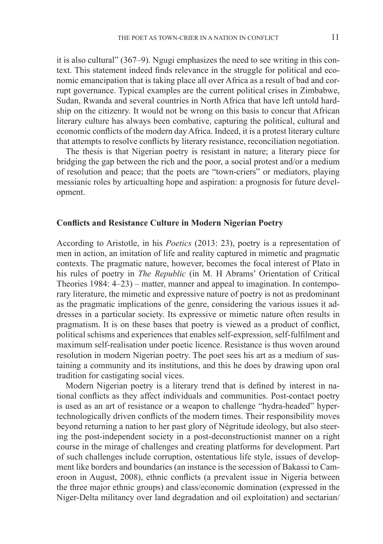it is also cultural" (367–9). Ngugi emphasizes the need to see writing in this context. This statement indeed finds relevance in the struggle for political and economic emancipation that is taking place all over Africa as a result of bad and corrupt governance. Typical examples are the current political crises in Zimbabwe, Sudan, Rwanda and several countries in North Africa that have left untold hardship on the citizenry. It would not be wrong on this basis to concur that African literary culture has always been combative, capturing the political, cultural and economic conflicts of the modern day Africa. Indeed, it is a protest literary culture that attempts to resolve conflicts by literary resistance, reconciliation negotiation.

The thesis is that Nigerian poetry is resistant in nature; a literary piece for bridging the gap between the rich and the poor, a social protest and/or a medium of resolution and peace; that the poets are "town-criers" or mediators, playing messianic roles by articualting hope and aspiration: a prognosis for future development.

# **Conflicts and Resistance Culture in Modern Nigerian Poetry**

According to Aristotle, in his *Poetics* (2013: 23), poetry is a representation of men in action, an imitation of life and reality captured in mimetic and pragmatic contexts. The pragmatic nature, however, becomes the focal interest of Plato in his rules of poetry in *The Republic* (in M. H Abrams' Orientation of Critical Theories 1984: 4–23) – matter, manner and appeal to imagination. In contemporary literature, the mimetic and expressive nature of poetry is not as predominant as the pragmatic implications of the genre, considering the various issues it addresses in a particular society. Its expressive or mimetic nature often results in pragmatism. It is on these bases that poetry is viewed as a product of conflict, political schisms and experiences that enables self-expression, self-fulfilment and maximum self-realisation under poetic licence. Resistance is thus woven around resolution in modern Nigerian poetry. The poet sees his art as a medium of sustaining a community and its institutions, and this he does by drawing upon oral tradition for castigating social vices.

Modern Nigerian poetry is a literary trend that is defined by interest in national conflicts as they affect individuals and communities. Post-contact poetry is used as an art of resistance or a weapon to challenge "hydra-headed" hypertechnologically driven conflicts of the modern times. Their responsibility moves beyond returning a nation to her past glory of Négritude ideology, but also steering the post-independent society in a post-deconstructionist manner on a right course in the mirage of challenges and creating platforms for development. Part of such challenges include corruption, ostentatious life style, issues of development like borders and boundaries (an instance is the secession of Bakassi to Cameroon in August, 2008), ethnic conflicts (a prevalent issue in Nigeria between the three major ethnic groups) and class/economic domination (expressed in the Niger-Delta militancy over land degradation and oil exploitation) and sectarian/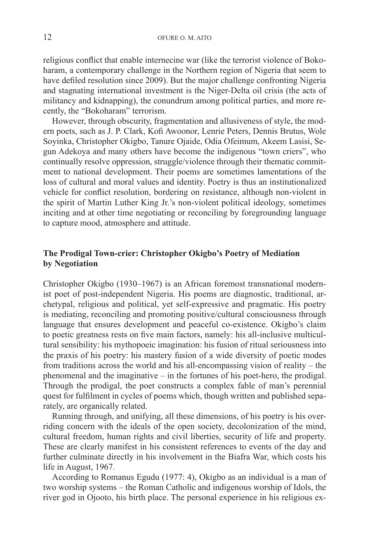religious conflict that enable internecine war (like the terrorist violence of Bokoharam, a contemporary challenge in the Northern region of Nigeria that seem to have defiled resolution since 2009). But the major challenge confronting Nigeria and stagnating international investment is the Niger-Delta oil crisis (the acts of militancy and kidnapping), the conundrum among political parties, and more recently, the "Bokoharam" terrorism.

However, through obscurity, fragmentation and allusiveness of style, the modern poets, such as J. P. Clark, Kofi Awoonor, Lenrie Peters, Dennis Brutus, Wole Soyinka, Christopher Okigbo, Tanure Ojaide, Odia Ofeimum, Akeem Lasisi, Segun Adekoya and many others have become the indigenous "town criers", who continually resolve oppression, struggle/violence through their thematic commitment to national development. Their poems are sometimes lamentations of the loss of cultural and moral values and identity. Poetry is thus an institutionalized vehicle for conflict resolution, bordering on resistance, although non-violent in the spirit of Martin Luther King Jr.'s non-violent political ideology, sometimes inciting and at other time negotiating or reconciling by foregrounding language to capture mood, atmosphere and attitude.

# **The Prodigal Town-crier: Christopher Okigbo's Poetry of Mediation by Negotiation**

Christopher Okigbo (1930–1967) is an African foremost transnational modernist poet of post-independent Nigeria. His poems are diagnostic, traditional, archetypal, religious and political, yet self-expressive and pragmatic. His poetry is mediating, reconciling and promoting positive/cultural consciousness through language that ensures development and peaceful co-existence. Okigbo's claim to poetic greatness rests on five main factors, namely: his all-inclusive multicultural sensibility: his mythopoeic imagination: his fusion of ritual seriousness into the praxis of his poetry: his mastery fusion of a wide diversity of poetic modes from traditions across the world and his all-encompassing vision of reality – the phenomenal and the imaginative – in the fortunes of his poet-hero, the prodigal. Through the prodigal, the poet constructs a complex fable of man's perennial quest for fulfilment in cycles of poems which, though written and published separately, are organically related.

Running through, and unifying, all these dimensions, of his poetry is his overriding concern with the ideals of the open society, decolonization of the mind, cultural freedom, human rights and civil liberties, security of life and property. These are clearly manifest in his consistent references to events of the day and further culminate directly in his involvement in the Biafra War, which costs his life in August, 1967.

According to Romanus Egudu (1977: 4), Okigbo as an individual is a man of two worship systems – the Roman Catholic and indigenous worship of Idols, the river god in Ojooto, his birth place. The personal experience in his religious ex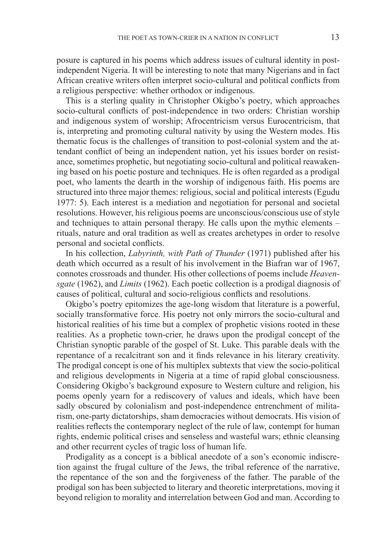posure is captured in his poems which address issues of cultural identity in postindependent Nigeria. It will be interesting to note that many Nigerians and in fact African creative writers often interpret socio-cultural and political conflicts from a religious perspective: whether orthodox or indigenous.

This is a sterling quality in Christopher Okigbo's poetry, which approaches socio-cultural conflicts of post-independence in two orders: Christian worship and indigenous system of worship; Afrocentricism versus Eurocentricism, that is, interpreting and promoting cultural nativity by using the Western modes. His thematic focus is the challenges of transition to post-colonial system and the attendant conflict of being an independent nation, yet his issues border on resistance, sometimes prophetic, but negotiating socio-cultural and political reawakening based on his poetic posture and techniques. He is often regarded as a prodigal poet, who laments the dearth in the worship of indigenous faith. His poems are structured into three major themes: religious, social and political interests (Egudu 1977: 5). Each interest is a mediation and negotiation for personal and societal resolutions. However, his religious poems are unconscious/conscious use of style and techniques to attain personal therapy. He calls upon the mythic elements – rituals, nature and oral tradition as well as creates archetypes in order to resolve personal and societal conflicts.

In his collection, *Labyrinth, with Path of Thunder* (1971) published after his death which occurred as a result of his involvement in the Biafran war of 1967, connotes crossroads and thunder. His other collections of poems include *Heavensgate* (1962), and *Limits* (1962). Each poetic collection is a prodigal diagnosis of causes of political, cultural and socio-religious conflicts and resolutions.

Okigbo's poetry epitomizes the age-long wisdom that literature is a powerful, socially transformative force. His poetry not only mirrors the socio-cultural and historical realities of his time but a complex of prophetic visions rooted in these realities. As a prophetic town-crier, he draws upon the prodigal concept of the Christian synoptic parable of the gospel of St. Luke. This parable deals with the repentance of a recalcitrant son and it finds relevance in his literary creativity. The prodigal concept is one of his multiplex subtexts that view the socio-political and religious developments in Nigeria at a time of rapid global consciousness. Considering Okigbo's background exposure to Western culture and religion, his poems openly yearn for a rediscovery of values and ideals, which have been sadly obscured by colonialism and post-independence entrenchment of militarism, one-party dictatorships, sham democracies without democrats. His vision of realities reflects the contemporary neglect of the rule of law, contempt for human rights, endemic political crises and senseless and wasteful wars; ethnic cleansing and other recurrent cycles of tragic loss of human life.

Prodigality as a concept is a biblical anecdote of a son's economic indiscretion against the frugal culture of the Jews, the tribal reference of the narrative, the repentance of the son and the forgiveness of the father. The parable of the prodigal son has been subjected to literary and theoretic interpretations, moving it beyond religion to morality and interrelation between God and man. According to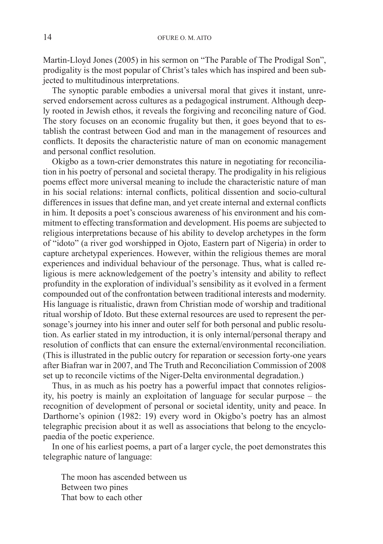Martin-Lloyd Jones (2005) in his sermon on "The Parable of The Prodigal Son", prodigality is the most popular of Christ's tales which has inspired and been subjected to multitudinous interpretations.

The synoptic parable embodies a universal moral that gives it instant, unreserved endorsement across cultures as a pedagogical instrument. Although deeply rooted in Jewish ethos, it reveals the forgiving and reconciling nature of God. The story focuses on an economic frugality but then, it goes beyond that to establish the contrast between God and man in the management of resources and conflicts. It deposits the characteristic nature of man on economic management and personal conflict resolution.

Okigbo as a town-crier demonstrates this nature in negotiating for reconciliation in his poetry of personal and societal therapy. The prodigality in his religious poems effect more universal meaning to include the characteristic nature of man in his social relations: internal conflicts, political dissention and socio-cultural differences in issues that define man, and yet create internal and external conflicts in him. It deposits a poet's conscious awareness of his environment and his commitment to effecting transformation and development. His poems are subjected to religious interpretations because of his ability to develop archetypes in the form of "idoto" (a river god worshipped in Ojoto, Eastern part of Nigeria) in order to capture archetypal experiences. However, within the religious themes are moral experiences and individual behaviour of the personage. Thus, what is called religious is mere acknowledgement of the poetry's intensity and ability to reflect profundity in the exploration of individual's sensibility as it evolved in a ferment compounded out of the confrontation between traditional interests and modernity. His language is ritualistic, drawn from Christian mode of worship and traditional ritual worship of Idoto. But these external resources are used to represent the personage's journey into his inner and outer self for both personal and public resolution. As earlier stated in my introduction, it is only internal/personal therapy and resolution of conflicts that can ensure the external/environmental reconciliation. (This is illustrated in the public outcry for reparation or secession forty-one years after Biafran war in 2007, and The Truth and Reconciliation Commission of 2008 set up to reconcile victims of the Niger-Delta environmental degradation.)

Thus, in as much as his poetry has a powerful impact that connotes religiosity, his poetry is mainly an exploitation of language for secular purpose – the recognition of development of personal or societal identity, unity and peace. In Darthorne's opinion (1982: 19) every word in Okigbo's poetry has an almost telegraphic precision about it as well as associations that belong to the encyclopaedia of the poetic experience.

In one of his earliest poems, a part of a larger cycle, the poet demonstrates this telegraphic nature of language:

The moon has ascended between us Between two pines That bow to each other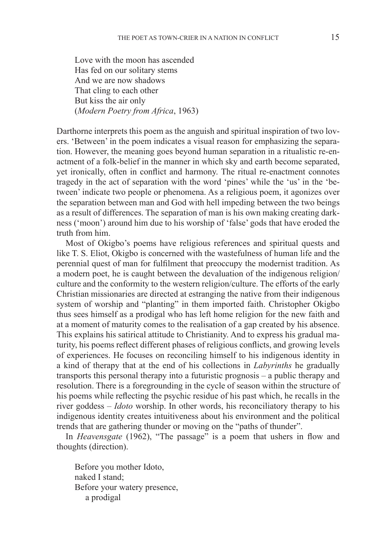Love with the moon has ascended Has fed on our solitary stems And we are now shadows That cling to each other But kiss the air only (*Modern Poetry from Africa*, 1963)

Darthorne interprets this poem as the anguish and spiritual inspiration of two lovers. 'Between' in the poem indicates a visual reason for emphasizing the separation. However, the meaning goes beyond human separation in a ritualistic re-enactment of a folk-belief in the manner in which sky and earth become separated, yet ironically, often in conflict and harmony. The ritual re-enactment connotes tragedy in the act of separation with the word 'pines' while the 'us' in the 'between' indicate two people or phenomena. As a religious poem, it agonizes over the separation between man and God with hell impeding between the two beings as a result of differences. The separation of man is his own making creating darkness ('moon') around him due to his worship of 'false' gods that have eroded the truth from him.

Most of Okigbo's poems have religious references and spiritual quests and like T. S. Eliot, Okigbo is concerned with the wastefulness of human life and the perennial quest of man for fulfilment that preoccupy the modernist tradition. As a modern poet, he is caught between the devaluation of the indigenous religion/ culture and the conformity to the western religion/culture. The efforts of the early Christian missionaries are directed at estranging the native from their indigenous system of worship and "planting" in them imported faith. Christopher Okigbo thus sees himself as a prodigal who has left home religion for the new faith and at a moment of maturity comes to the realisation of a gap created by his absence. This explains his satirical attitude to Christianity. And to express his gradual maturity, his poems reflect different phases of religious conflicts, and growing levels of experiences. He focuses on reconciling himself to his indigenous identity in a kind of therapy that at the end of his collections in *Labyrinths* he gradually transports this personal therapy into a futuristic prognosis – a public therapy and resolution. There is a foregrounding in the cycle of season within the structure of his poems while reflecting the psychic residue of his past which, he recalls in the river goddess – *Idoto* worship. In other words, his reconciliatory therapy to his indigenous identity creates intuitiveness about his environment and the political trends that are gathering thunder or moving on the "paths of thunder".

In *Heavensgate* (1962), "The passage" is a poem that ushers in flow and thoughts (direction).

Before you mother Idoto, naked I stand; Before your watery presence, a prodigal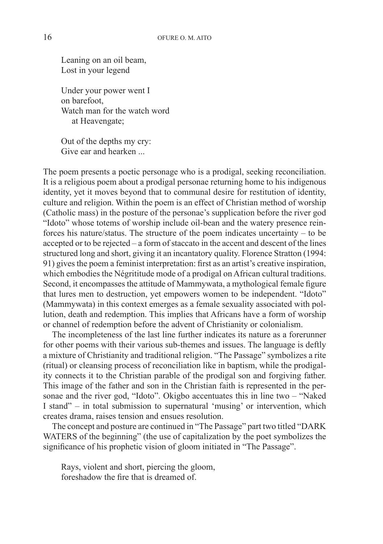Leaning on an oil beam, Lost in your legend

Under your power went I on barefoot, Watch man for the watch word at Heavengate;

Out of the depths my cry: Give ear and hearken ...

The poem presents a poetic personage who is a prodigal, seeking reconciliation. It is a religious poem about a prodigal personae returning home to his indigenous identity, yet it moves beyond that to communal desire for restitution of identity, culture and religion. Within the poem is an effect of Christian method of worship (Catholic mass) in the posture of the personae's supplication before the river god "Idoto" whose totems of worship include oil-bean and the watery presence reinforces his nature/status. The structure of the poem indicates uncertainty – to be accepted or to be rejected – a form of staccato in the accent and descent of the lines structured long and short, giving it an incantatory quality. Florence Stratton (1994: 91) gives the poem a feminist interpretation: first as an artist's creative inspiration, which embodies the Négrititude mode of a prodigal on African cultural traditions. Second, it encompasses the attitude of Mammywata, a mythological female figure that lures men to destruction, yet empowers women to be independent. "Idoto" (Mammywata) in this context emerges as a female sexuality associated with pollution, death and redemption. This implies that Africans have a form of worship or channel of redemption before the advent of Christianity or colonialism.

The incompleteness of the last line further indicates its nature as a forerunner for other poems with their various sub-themes and issues. The language is deftly a mixture of Christianity and traditional religion. "The Passage" symbolizes a rite (ritual) or cleansing process of reconciliation like in baptism, while the prodigality connects it to the Christian parable of the prodigal son and forgiving father. This image of the father and son in the Christian faith is represented in the personae and the river god, "Idoto". Okigbo accentuates this in line two – "Naked I stand" – in total submission to supernatural 'musing' or intervention, which creates drama, raises tension and ensues resolution.

The concept and posture are continued in "The Passage" part two titled "DARK WATERS of the beginning" (the use of capitalization by the poet symbolizes the significance of his prophetic vision of gloom initiated in "The Passage".

Rays, violent and short, piercing the gloom, foreshadow the fire that is dreamed of.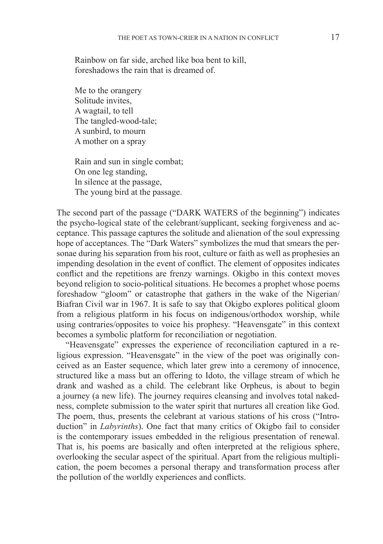Rainbow on far side, arched like boa bent to kill, foreshadows the rain that is dreamed of.

Me to the orangery Solitude invites, A wagtail, to tell The tangled-wood-tale; A sunbird, to mourn A mother on a spray

Rain and sun in single combat; On one leg standing, In silence at the passage, The young bird at the passage.

The second part of the passage ("DARK WATERS of the beginning") indicates the psycho-logical state of the celebrant/supplicant, seeking forgiveness and acceptance. This passage captures the solitude and alienation of the soul expressing hope of acceptances. The "Dark Waters" symbolizes the mud that smears the personae during his separation from his root, culture or faith as well as prophesies an impending desolation in the event of conflict. The element of opposites indicates conflict and the repetitions are frenzy warnings. Okigbo in this context moves beyond religion to socio-political situations. He becomes a prophet whose poems foreshadow "gloom" or catastrophe that gathers in the wake of the Nigerian/ Biafran Civil war in 1967. It is safe to say that Okigbo explores political gloom from a religious platform in his focus on indigenous/orthodox worship, while using contraries/opposites to voice his prophesy. "Heavensgate" in this context becomes a symbolic platform for reconciliation or negotiation.

"Heavensgate" expresses the experience of reconciliation captured in a religious expression. "Heavensgate" in the view of the poet was originally conceived as an Easter sequence, which later grew into a ceremony of innocence, structured like a mass but an offering to Idoto, the village stream of which he drank and washed as a child. The celebrant like Orpheus, is about to begin a journey (a new life). The journey requires cleansing and involves total nakedness, complete submission to the water spirit that nurtures all creation like God. The poem, thus, presents the celebrant at various stations of his cross ("Introduction" in *Labyrinths*). One fact that many critics of Okigbo fail to consider is the contemporary issues embedded in the religious presentation of renewal. That is, his poems are basically and often interpreted at the religious sphere, overlooking the secular aspect of the spiritual. Apart from the religious multiplication, the poem becomes a personal therapy and transformation process after the pollution of the worldly experiences and conflicts.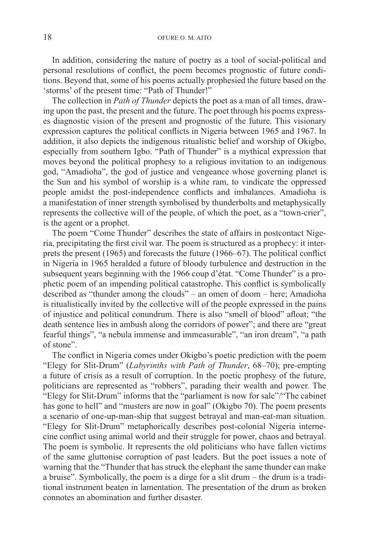In addition, considering the nature of poetry as a tool of social-political and personal resolutions of conflict, the poem becomes prognostic of future conditions. Beyond that, some of his poems actually prophesied the future based on the 'storms' of the present time: "Path of Thunder!"

The collection in *Path of Thunder* depicts the poet as a man of all times, drawing upon the past, the present and the future. The poet through his poems expresses diagnostic vision of the present and prognostic of the future. This visionary expression captures the political conflicts in Nigeria between 1965 and 1967. In addition, it also depicts the indigenous ritualistic belief and worship of Okigbo, especially from southern Igbo. "Path of Thunder" is a mythical expression that moves beyond the political prophesy to a religious invitation to an indigenous god, "Amadioha", the god of justice and vengeance whose governing planet is the Sun and his symbol of worship is a white ram, to vindicate the oppressed people amidst the post-independence conflicts and imbalances. Amadioha is a manifestation of inner strength symbolised by thunderbolts and metaphysically represents the collective will of the people, of which the poet, as a "town-crier", is the agent or a prophet.

The poem "Come Thunder" describes the state of affairs in postcontact Nigeria, precipitating the first civil war. The poem is structured as a prophecy: it interprets the present (1965) and forecasts the future (1966–67). The political conflict in Nigeria in 1965 heralded a future of bloody turbulence and destruction in the subsequent years beginning with the 1966 coup d'état. "Come Thunder" is a prophetic poem of an impending political catastrophe. This conflict is symbolically described as "thunder among the clouds" – an omen of doom – here; Amadioha is ritualistically invited by the collective will of the people expressed in the pains of injustice and political conundrum. There is also "smell of blood" afloat; "the death sentence lies in ambush along the corridors of power"; and there are "great fearful things", "a nebula immense and immeasurable", "an iron dream", "a path of stone".

The conflict in Nigeria comes under Okigbo's poetic prediction with the poem "Elegy for Slit-Drum" (*Labyrinths with Path of Thunder*, 68–70); pre-empting a future of crisis as a result of corruption. In the poetic prophesy of the future, politicians are represented as "robbers", parading their wealth and power. The "Elegy for Slit-Drum" informs that the "parliament is now for sale"/"The cabinet has gone to hell" and "musters are now in goal" (Okigbo 70). The poem presents a scenario of one-up-man-ship that suggest betrayal and man-eat-man situation. "Elegy for Slit-Drum" metaphorically describes post-colonial Nigeria internecine conflict using animal world and their struggle for power, chaos and betrayal. The poem is symbolic. It represents the old politicians who have fallen victims of the same gluttonise corruption of past leaders. But the poet issues a note of warning that the "Thunder that has struck the elephant the same thunder can make a bruise". Symbolically, the poem is a dirge for a slit drum – the drum is a traditional instrument beaten in lamentation. The presentation of the drum as broken connotes an abomination and further disaster.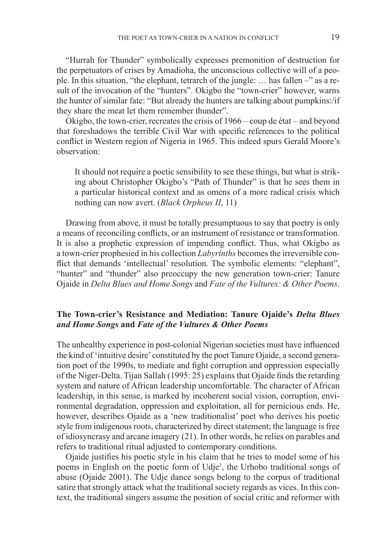"Hurrah for Thunder" symbolically expresses premonition of destruction for the perpetuators of crises by Amadioha, the unconscious collective will of a people. In this situation, "the elephant, tetrarch of the jungle: … has fallen –" as a result of the invocation of the "hunters". Okigbo the "town-crier" however, warns the hunter of similar fate: "But already the hunters are talking about pumpkins:/if they share the meat let them remember thunder".

Okigbo, the town-crier, recreates the crisis of 1966 – coup de état – and beyond that foreshadows the terrible Civil War with specific references to the political conflict in Western region of Nigeria in 1965. This indeed spurs Gerald Moore's observation:

It should not require a poetic sensibility to see these things, but what is striking about Christopher Okigbo's "Path of Thunder" is that he sees them in a particular historical context and as omens of a more radical crisis which nothing can now avert. (*Black Orpheus II*, 11)

Drawing from above, it must be totally presumptuous to say that poetry is only a means of reconciling conflicts, or an instrument of resistance or transformation. It is also a prophetic expression of impending conflict. Thus, what Okigbo as a town-crier prophesied in his collection *Labyrinths* becomes the irreversible conflict that demands 'intellectual' resolution. The symbolic elements: "elephant", "hunter" and "thunder" also preoccupy the new generation town-crier: Tanure Ojaide in *Delta Blues and Home Songs* and *Fate of the Vultures: & Other Poems*.

# **The Town-crier's Resistance and Mediation: Tanure Ojaide's** *Delta Blues and Home Songs* **and** *Fate of the Vultures & Other Poems*

The unhealthy experience in post-colonial Nigerian societies must have influenced the kind of 'intuitive desire' constituted by the poet Tanure Ojaide, a second generation poet of the 1990s, to mediate and fight corruption and oppression especially of the Niger-Delta. Tijan Sallah (1995: 25) explains that Ojaide finds the retarding system and nature of African leadership uncomfortable. The character of African leadership, in this sense, is marked by incoherent social vision, corruption, environmental degradation, oppression and exploitation, all for pernicious ends. He, however, describes Ojaide as a 'new traditionalist' poet who derives his poetic style from indigenous roots, characterized by direct statement; the language is free of idiosyncrasy and arcane imagery (21). In other words, he relies on parables and refers to traditional ritual adjusted to contemporary conditions.

Ojaide justifies his poetic style in his claim that he tries to model some of his poems in English on the poetic form of Udje<sup>3</sup>, the Urhobo traditional songs of abuse (Ojaide 2001). The Udje dance songs belong to the corpus of traditional satire that strongly attack what the traditional society regards as vices. In this context, the traditional singers assume the position of social critic and reformer with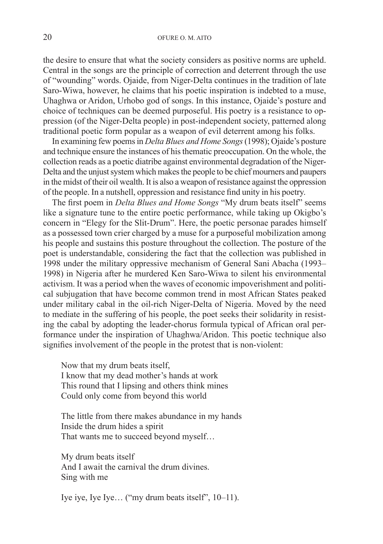the desire to ensure that what the society considers as positive norms are upheld. Central in the songs are the principle of correction and deterrent through the use of "wounding" words. Ojaide, from Niger-Delta continues in the tradition of late Saro-Wiwa, however, he claims that his poetic inspiration is indebted to a muse, Uhaghwa or Aridon, Urhobo god of songs. In this instance, Ojaide's posture and choice of techniques can be deemed purposeful. His poetry is a resistance to oppression (of the Niger-Delta people) in post-independent society, patterned along traditional poetic form popular as a weapon of evil deterrent among his folks.

In examining few poems in *Delta Blues and Home Songs* (1998); Ojaide's posture and technique ensure the instances of his thematic preoccupation. On the whole, the collection reads as a poetic diatribe against environmental degradation of the Niger-Delta and the unjust system which makes the people to be chief mourners and paupers in the midst of their oil wealth. It is also a weapon of resistance against the oppression of the people. In a nutshell, oppression and resistance find unity in his poetry.

The first poem in *Delta Blues and Home Songs* "My drum beats itself" seems like a signature tune to the entire poetic performance, while taking up Okigbo's concern in "Elegy for the Slit-Drum". Here, the poetic personae parades himself as a possessed town crier charged by a muse for a purposeful mobilization among his people and sustains this posture throughout the collection. The posture of the poet is understandable, considering the fact that the collection was published in 1998 under the military oppressive mechanism of General Sani Abacha (1993– 1998) in Nigeria after he murdered Ken Saro-Wiwa to silent his environmental activism. It was a period when the waves of economic impoverishment and political subjugation that have become common trend in most African States peaked under military cabal in the oil-rich Niger-Delta of Nigeria. Moved by the need to mediate in the suffering of his people, the poet seeks their solidarity in resisting the cabal by adopting the leader-chorus formula typical of African oral performance under the inspiration of Uhaghwa/Aridon. This poetic technique also signifies involvement of the people in the protest that is non-violent:

Now that my drum beats itself, I know that my dead mother's hands at work This round that I lipsing and others think mines Could only come from beyond this world

The little from there makes abundance in my hands Inside the drum hides a spirit That wants me to succeed beyond myself…

My drum beats itself And I await the carnival the drum divines. Sing with me

Iye iye, Iye Iye… ("my drum beats itself", 10–11).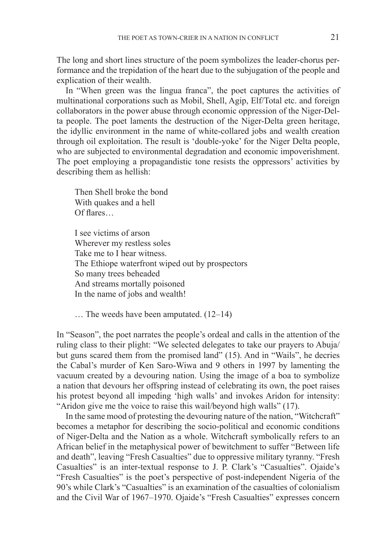The long and short lines structure of the poem symbolizes the leader-chorus performance and the trepidation of the heart due to the subjugation of the people and explication of their wealth.

In "When green was the lingua franca", the poet captures the activities of multinational corporations such as Mobil, Shell, Agip, Elf/Total etc. and foreign collaborators in the power abuse through economic oppression of the Niger-Delta people. The poet laments the destruction of the Niger-Delta green heritage, the idyllic environment in the name of white-collared jobs and wealth creation through oil exploitation. The result is 'double-yoke' for the Niger Delta people, who are subjected to environmental degradation and economic impoverishment. The poet employing a propagandistic tone resists the oppressors' activities by describing them as hellish:

Then Shell broke the bond With quakes and a hell Of flares…

I see victims of arson Wherever my restless soles Take me to I hear witness. The Ethiope waterfront wiped out by prospectors So many trees beheaded And streams mortally poisoned In the name of jobs and wealth!

… The weeds have been amputated. (12–14)

In "Season", the poet narrates the people's ordeal and calls in the attention of the ruling class to their plight: "We selected delegates to take our prayers to Abuja/ but guns scared them from the promised land" (15). And in "Wails", he decries the Cabal's murder of Ken Saro-Wiwa and 9 others in 1997 by lamenting the vacuum created by a devouring nation. Using the image of a boa to symbolize a nation that devours her offspring instead of celebrating its own, the poet raises his protest beyond all impeding 'high walls' and invokes Aridon for intensity: "Aridon give me the voice to raise this wail/beyond high walls" (17).

In the same mood of protesting the devouring nature of the nation, "Witchcraft" becomes a metaphor for describing the socio-political and economic conditions of Niger-Delta and the Nation as a whole. Witchcraft symbolically refers to an African belief in the metaphysical power of bewitchment to suffer "Between life and death", leaving "Fresh Casualties" due to oppressive military tyranny. "Fresh Casualties" is an inter-textual response to J. P. Clark's "Casualties". Ojaide's "Fresh Casualties" is the poet's perspective of post-independent Nigeria of the 90's while Clark's "Casualties" is an examination of the casualties of colonialism and the Civil War of 1967–1970. Ojaide's "Fresh Casualties" expresses concern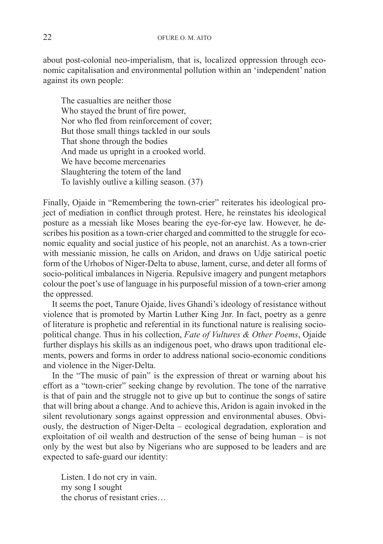about post-colonial neo-imperialism, that is, localized oppression through economic capitalisation and environmental pollution within an 'independent' nation against its own people:

The casualties are neither those Who stayed the brunt of fire power, Nor who fled from reinforcement of cover; But those small things tackled in our souls That shone through the bodies And made us upright in a crooked world. We have become mercenaries Slaughtering the totem of the land To lavishly outlive a killing season. (37)

Finally, Ojaide in "Remembering the town-crier" reiterates his ideological project of mediation in conflict through protest. Here, he reinstates his ideological posture as a messiah like Moses bearing the eye-for-eye law. However, he describes his position as a town-crier charged and committed to the struggle for economic equality and social justice of his people, not an anarchist. As a town-crier with messianic mission, he calls on Aridon, and draws on Udje satirical poetic form of the Urhobos of Niger-Delta to abuse, lament, curse, and deter all forms of socio-political imbalances in Nigeria. Repulsive imagery and pungent metaphors colour the poet's use of language in his purposeful mission of a town-crier among the oppressed.

It seems the poet, Tanure Ojaide, lives Ghandi's ideology of resistance without violence that is promoted by Martin Luther King Jnr. In fact, poetry as a genre of literature is prophetic and referential in its functional nature is realising sociopolitical change. Thus in his collection, *Fate of Vultures & Other Poems*, Ojaide further displays his skills as an indigenous poet, who draws upon traditional elements, powers and forms in order to address national socio-economic conditions and violence in the Niger-Delta.

In the "The music of pain" is the expression of threat or warning about his effort as a "town-crier" seeking change by revolution. The tone of the narrative is that of pain and the struggle not to give up but to continue the songs of satire that will bring about a change. And to achieve this, Aridon is again invoked in the silent revolutionary songs against oppression and environmental abuses. Obviously, the destruction of Niger-Delta – ecological degradation, exploration and exploitation of oil wealth and destruction of the sense of being human – is not only by the west but also by Nigerians who are supposed to be leaders and are expected to safe-guard our identity:

Listen. I do not cry in vain. my song I sought the chorus of resistant cries…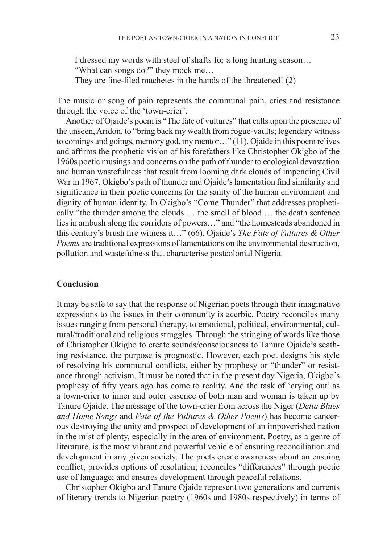I dressed my words with steel of shafts for a long hunting season… "What can songs do?" they mock me… They are fine-filed machetes in the hands of the threatened! (2)

The music or song of pain represents the communal pain, cries and resistance through the voice of the 'town-crier'.

Another of Ojaide's poem is "The fate of vultures" that calls upon the presence of the unseen, Aridon, to "bring back my wealth from rogue-vaults; legendary witness to comings and goings, memory god, my mentor…" (11). Ojaide in this poem relives and affirms the prophetic vision of his forefathers like Christopher Okigbo of the 1960s poetic musings and concerns on the path of thunder to ecological devastation and human wastefulness that result from looming dark clouds of impending Civil War in 1967. Okigbo's path of thunder and Ojaide's lamentation find similarity and significance in their poetic concerns for the sanity of the human environment and dignity of human identity. In Okigbo's "Come Thunder" that addresses prophetically "the thunder among the clouds … the smell of blood … the death sentence lies in ambush along the corridors of powers…" and "the homesteads abandoned in this century's brush fire witness it…" (66). Ojaide's *The Fate of Vultures & Other Poems* are traditional expressions of lamentations on the environmental destruction, pollution and wastefulness that characterise postcolonial Nigeria.

## **Conclusion**

It may be safe to say that the response of Nigerian poets through their imaginative expressions to the issues in their community is acerbic. Poetry reconciles many issues ranging from personal therapy, to emotional, political, environmental, cultural/traditional and religious struggles. Through the stringing of words like those of Christopher Okigbo to create sounds/consciousness to Tanure Ojaide's scathing resistance, the purpose is prognostic. However, each poet designs his style of resolving his communal conflicts, either by prophesy or "thunder" or resistance through activism. It must be noted that in the present day Nigeria, Okigbo's prophesy of fifty years ago has come to reality. And the task of 'crying out' as a town-crier to inner and outer essence of both man and woman is taken up by Tanure Ojaide. The message of the town-crier from across the Niger (*Delta Blues and Home Songs* and *Fate of the Vultures & Other Poems*) has become cancerous destroying the unity and prospect of development of an impoverished nation in the mist of plenty, especially in the area of environment. Poetry, as a genre of literature, is the most vibrant and powerful vehicle of ensuring reconciliation and development in any given society. The poets create awareness about an ensuing conflict; provides options of resolution; reconciles "differences" through poetic use of language; and ensures development through peaceful relations.

Christopher Okigbo and Tanure Ojaide represent two generations and currents of literary trends to Nigerian poetry (1960s and 1980s respectively) in terms of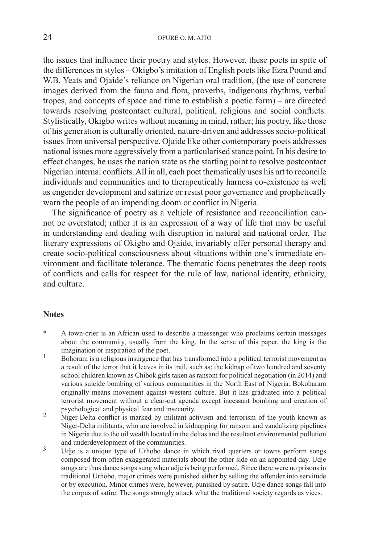the issues that influence their poetry and styles. However, these poets in spite of the differences in styles – Okigbo's imitation of English poets like Ezra Pound and W.B. Yeats and Ojaide's reliance on Nigerian oral tradition, (the use of concrete images derived from the fauna and flora, proverbs, indigenous rhythms, verbal tropes, and concepts of space and time to establish a poetic form) – are directed towards resolving postcontact cultural, political, religious and social conflicts. Stylistically, Okigbo writes without meaning in mind, rather; his poetry, like those of his generation is culturally oriented, nature-driven and addresses socio-political issues from universal perspective. Ojaide like other contemporary poets addresses national issues more aggressively from a particularised stance point. In his desire to effect changes, he uses the nation state as the starting point to resolve postcontact Nigerian internal conflicts. All in all, each poet thematically uses his art to reconcile individuals and communities and to therapeutically harness co-existence as well as engender development and satirize or resist poor governance and prophetically warn the people of an impending doom or conflict in Nigeria.

The significance of poetry as a vehicle of resistance and reconciliation cannot be overstated; rather it is an expression of a way of life that may be useful in understanding and dealing with disruption in natural and national order. The literary expressions of Okigbo and Ojaide, invariably offer personal therapy and create socio-political consciousness about situations within one's immediate environment and facilitate tolerance. The thematic focus penetrates the deep roots of conflicts and calls for respect for the rule of law, national identity, ethnicity, and culture.

## **Notes**

- A town-crier is an African used to describe a messenger who proclaims certain messages about the community, usually from the king. In the sense of this paper, the king is the imagination or inspiration of the poet.
- <sup>1</sup> Bohoram is a religious insurgence that has transformed into a political terrorist movement as a result of the terror that it leaves in its trail, such as; the kidnap of two hundred and seventy school children known as Chibok girls taken as ransom for political negotiation (in 2014) and various suicide bombing of various communities in the North East of Nigeria. Bokoharam originally means movement against western culture. But it has graduated into a political terrorist movement without a clear-cut agenda except incessant bombing and creation of psychological and physical fear and insecurity.
- <sup>2</sup> Niger-Delta conflict is marked by militant activism and terrorism of the youth known as Niger-Delta militants, who are involved in kidnapping for ransom and vandalizing pipelines in Nigeria due to the oil wealth located in the deltas and the resultant environmental pollution and underdevelopment of the communities.
- <sup>3</sup> Udje is a unique type of Urhobo dance in which rival quarters or towns perform songs composed from often exaggerated materials about the other side on an appointed day. Udje songs are thus dance songs sung when udje is being performed. Since there were no prisons in traditional Urhobo, major crimes were punished either by selling the offender into servitude or by execution. Minor crimes were, however, punished by satire. Udje dance songs fall into the corpus of satire. The songs strongly attack what the traditional society regards as vices.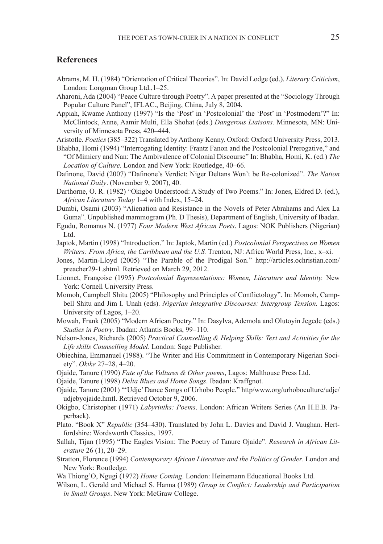### **References**

- Abrams, M. H. (1984) "Orientation of Critical Theories". In: David Lodge (ed.). *Literary Criticism*, London: Longman Group Ltd.,1–25.
- Aharoni, Ada (2004) "Peace Culture through Poetry". A paper presented at the "Sociology Through Popular Culture Panel", IFLAC., Beijing, China, July 8, 2004.
- Appiah, Kwame Anthony (1997) "Is the 'Post' in 'Postcolonial' the 'Post' in 'Postmodern'?" In: McClintock, Anne, Aamir Multi, Ella Shohat (eds.) *Dangerous Liaisons.* Minnesota, MN: University of Minnesota Press, 420–444.
- Aristotle. *Poetics* (385–322) Translated by Anthony Kenny. Oxford: Oxford University Press, 2013.
- Bhabha, Homi (1994) "Interrogating Identity: Frantz Fanon and the Postcolonial Prerogative," and "Of Mimicry and Nan: The Ambivalence of Colonial Discourse" In: Bhabha, Homi, K. (ed.) *The Location of Culture.* London and New York: Routledge, 40–66.
- Dafinone, David (2007) "Dafinone's Verdict: Niger Deltans Won't be Re-colonized". *The Nation National Daily*. (November 9, 2007), 40.
- Darthorne, O. R. (1982) "Okigbo Understood: A Study of Two Poems." In: Jones, Eldred D. (ed.), *African Literature Today* 1–4 with Index, 15–24.
- Dumbi, Osami (2003) "Alienation and Resistance in the Novels of Peter Abrahams and Alex La Guma". Unpublished mammogram (Ph. D Thesis), Department of English, University of Ibadan.
- Egudu, Romanus N. (1977) *Four Modern West African Poets*. Lagos: NOK Publishers (Nigerian) L<sub>td</sub>
- Japtok, Martin (1998) "Introduction." In: Japtok, Martin (ed.) *Postcolonial Perspectives on Women Writers: From Africa, the Caribbean and the U.S.* Trenton, NJ: Africa World Press, Inc., x-xi.
- Jones, Martin-Lloyd (2005) "The Parable of the Prodigal Son." http://articles.ochristian.com/ preacher29-1.shtml. Retrieved on March 29, 2012.
- Lionnet, Françoise (1995) *Postcolonial Representations: Women, Literature and Identity.* New York: Cornell University Press.
- Momoh, Campbell Shitu (2005) "Philosophy and Principles of Conflictology". In: Momoh, Campbell Shitu and Jim I. Unah (eds). *Nigerian Integrative Discourses: Intergroup Tension.* Lagos: University of Lagos, 1–20.
- Mowah, Frank (2005) "Modern African Poetry." In: Dasylva, Ademola and Olutoyin Jegede (eds.) *Studies in Poetry*. Ibadan: Atlantis Books, 99–110.
- Nelson-Jones, Richards (2005) *Practical Counselling & Helping Skills: Text and Activities for the Life skills Counselling Model*. London: Sage Publisher.
- Obiechina, Emmanuel (1988). "The Writer and His Commitment in Contemporary Nigerian Society". *Okike* 27–28, 4–20.
- Ojaide, Tanure (1990) *Fate of the Vultures & Other poems*, Lagos: Malthouse Press Ltd.
- Ojaide, Tanure (1998) *Delta Blues and Home Songs*. Ibadan: Kraffgnot.
- Ojaide, Tanure (2001) "'Udje' Dance Songs of Urhobo People." http/www.org/urhoboculture/udje/ udjebyojaide.hmtl. Retrieved October 9, 2006.
- Okigbo, Christopher (1971) *Labyrinths: Poems*. London: African Writers Series (An H.E.B. Paperback).
- Plato. "Book X" *Republic* (354–430). Translated by John L. Davies and David J. Vaughan. Hertfordshire: Wordsworth Classics, 1997.
- Sallah, Tijan (1995) "The Eagles Vision: The Poetry of Tanure Ojaide". *Research in African Literature* 26 (1), 20–29.
- Stratton, Florence (1994) *Contemporary African Literature and the Politics of Gender*. London and New York: Routledge.
- Wa Thiong'O, Ngugi (1972) *Home Coming*. London: Heinemann Educational Books Ltd.
- Wilson, L. Gerald and Michael S. Hanna (1989) *Group in Conflict: Leadership and Participation in Small Groups*. New York: McGraw College.